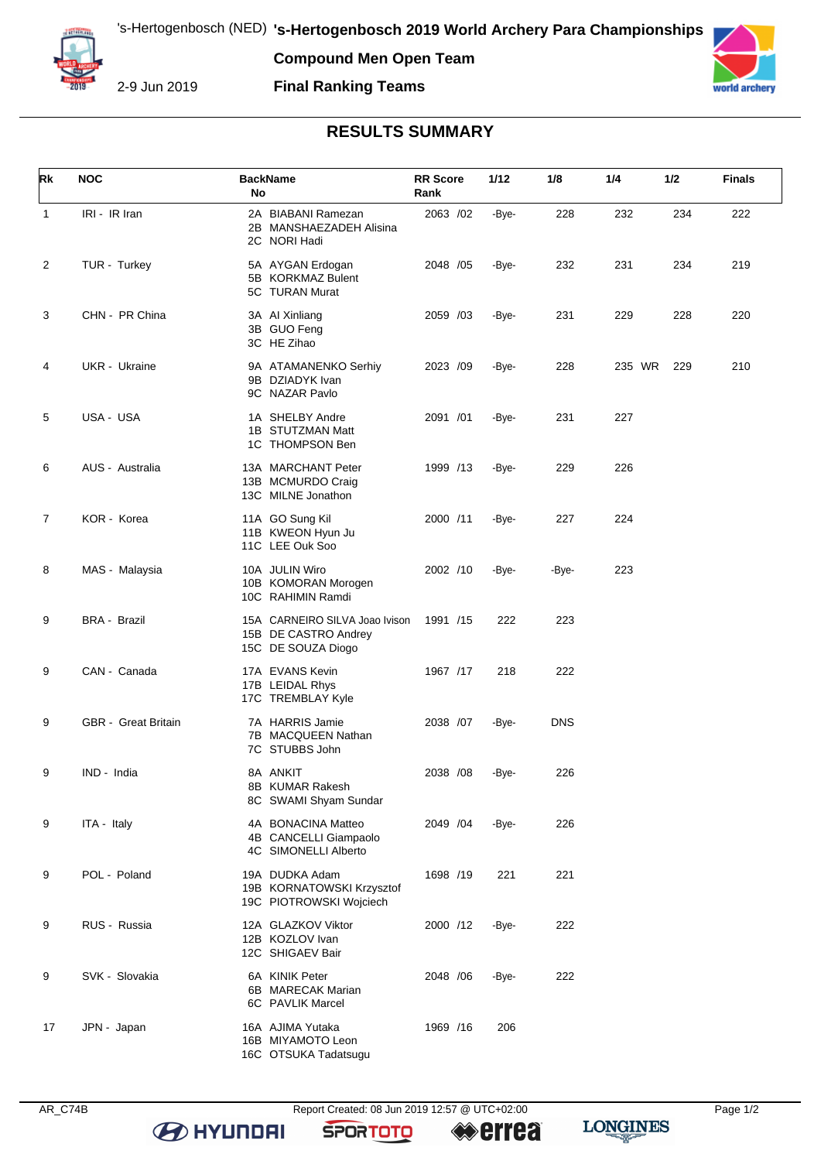2-9 Jun 2019

## **Compound Men Open Team Final Ranking Teams**



## **RESULTS SUMMARY**

| Rk           | <b>NOC</b>                 | <b>BackName</b><br>No                                                        | <b>RR Score</b><br>Rank | 1/12  | 1/8        | 1/4    | 1/2 | <b>Finals</b> |
|--------------|----------------------------|------------------------------------------------------------------------------|-------------------------|-------|------------|--------|-----|---------------|
| $\mathbf{1}$ | IRI - IR Iran              | 2A BIABANI Ramezan<br>2B MANSHAEZADEH Alisina<br>2C NORI Hadi                | 2063 /02                | -Bye- | 228        | 232    | 234 | 222           |
| 2            | TUR - Turkey               | 5A AYGAN Erdogan<br>5B KORKMAZ Bulent<br>5C TURAN Murat                      | 2048 / 05               | -Bye- | 232        | 231    | 234 | 219           |
| 3            | CHN - PR China             | 3A AI Xinliang<br>3B GUO Feng<br>3C HE Zihao                                 | 2059 /03                | -Bye- | 231        | 229    | 228 | 220           |
| 4            | UKR - Ukraine              | 9A ATAMANENKO Serhiy<br>9B DZIADYK Ivan<br>9C NAZAR Pavlo                    | 2023 /09                | -Bye- | 228        | 235 WR | 229 | 210           |
| 5            | USA - USA                  | 1A SHELBY Andre<br>1B STUTZMAN Matt<br>1C THOMPSON Ben                       | 2091 /01                | -Bye- | 231        | 227    |     |               |
| 6            | AUS - Australia            | 13A MARCHANT Peter<br>13B MCMURDO Craig<br>13C MILNE Jonathon                | 1999 /13                | -Bye- | 229        | 226    |     |               |
| 7            | KOR - Korea                | 11A GO Sung Kil<br>11B KWEON Hyun Ju<br>11C LEE Ouk Soo                      | 2000 /11                | -Bye- | 227        | 224    |     |               |
| 8            | MAS - Malaysia             | 10A JULIN Wiro<br>10B KOMORAN Morogen<br>10C RAHIMIN Ramdi                   | 2002 /10                | -Bye- | -Bye-      | 223    |     |               |
| 9            | <b>BRA - Brazil</b>        | 15A CARNEIRO SILVA Joao Ivison<br>15B DE CASTRO Andrey<br>15C DE SOUZA Diogo | 1991 /15                | 222   | 223        |        |     |               |
| 9            | CAN - Canada               | 17A EVANS Kevin<br>17B LEIDAL Rhys<br>17C TREMBLAY Kyle                      | 1967 /17                | 218   | 222        |        |     |               |
| 9            | <b>GBR</b> - Great Britain | 7A HARRIS Jamie<br>7B MACQUEEN Nathan<br>7C STUBBS John                      | 2038 /07                | -Bye- | <b>DNS</b> |        |     |               |
| 9            | IND - India                | 8A ANKIT<br>8B KUMAR Rakesh<br>8C SWAMI Shyam Sundar                         | 2038 /08                | -Bye- | 226        |        |     |               |
| 9            | ITA - Italy                | 4A BONACINA Matteo<br>4B CANCELLI Giampaolo<br>4C SIMONELLI Alberto          | 2049 / 04               | -Bye- | 226        |        |     |               |
| 9            | POL - Poland               | 19A DUDKA Adam<br>19B KORNATOWSKI Krzysztof<br>19C PIOTROWSKI Wojciech       | 1698 /19                | 221   | 221        |        |     |               |
| 9            | RUS - Russia               | 12A GLAZKOV Viktor<br>12B KOZLOV Ivan<br>12C SHIGAEV Bair                    | 2000 /12                | -Bye- | 222        |        |     |               |
| 9            | SVK - Slovakia             | 6A KINIK Peter<br>6B MARECAK Marian<br>6C PAVLIK Marcel                      | 2048 / 06               | -Bye- | 222        |        |     |               |
| 17           | JPN - Japan                | 16A AJIMA Yutaka<br>16B MIYAMOTO Leon<br>16C OTSUKA Tadatsugu                | 1969 / 16               | 206   |            |        |     |               |

**B** HYUNDAI

**SPORTOTO** 

**errea** 

**LONGINES**